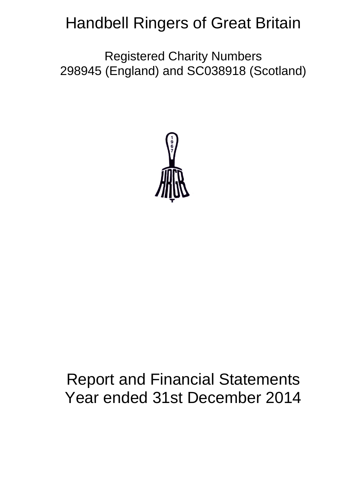# Handbell Ringers of Great Britain

Registered Charity Numbers 298945 (England) and SC038918 (Scotland)



# Report and Financial Statements Year ended 31st December 2014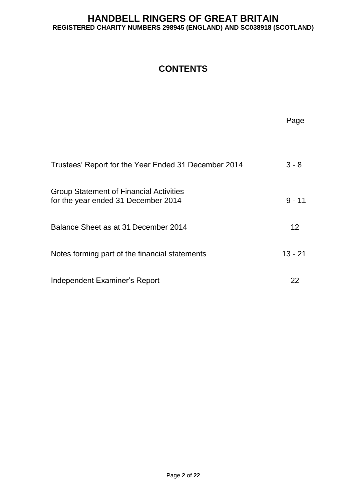## **CONTENTS**

|                                                                                       | Page      |
|---------------------------------------------------------------------------------------|-----------|
| Trustees' Report for the Year Ended 31 December 2014                                  | $3 - 8$   |
| <b>Group Statement of Financial Activities</b><br>for the year ended 31 December 2014 | $9 - 11$  |
| Balance Sheet as at 31 December 2014                                                  | $12 \,$   |
| Notes forming part of the financial statements                                        | $13 - 21$ |
| Independent Examiner's Report                                                         | 22        |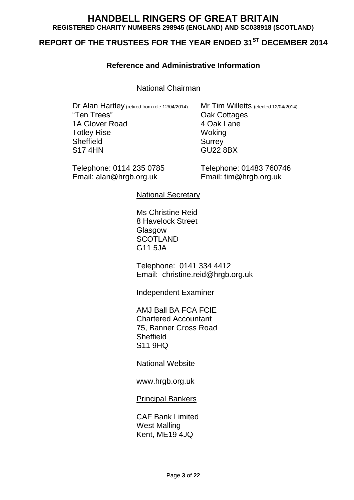# **REPORT OF THE TRUSTEES FOR THE YEAR ENDED 31ST DECEMBER 2014**

## **Reference and Administrative Information**

National Chairman

Dr Alan Hartley (retired from role 12/04/2014) Mr Tim Willetts (elected 12/04/2014)<br>
"Ten Trees" Qak Cottages 1A Glover Road Totley Rise Woking Sheffield Surrey S17 4HN GU22 8BX

Telephone: 0114 235 0785 Telephone: 01483 760746 Email: alan@hrgb.org.uk Email: tim@hrgb.org.uk

Oak Cottages<br>4 Oak Lane

National Secretary

Ms Christine Reid 8 Havelock Street Glasgow **SCOTLAND** G11 5JA

Telephone: 0141 334 4412 Email: christine.reid@hrgb.org.uk

Independent Examiner

AMJ Ball BA FCA FCIE Chartered Accountant 75, Banner Cross Road **Sheffield** S11 9HQ

National Website

www.hrgb.org.uk

Principal Bankers

CAF Bank Limited West Malling Kent, ME19 4JQ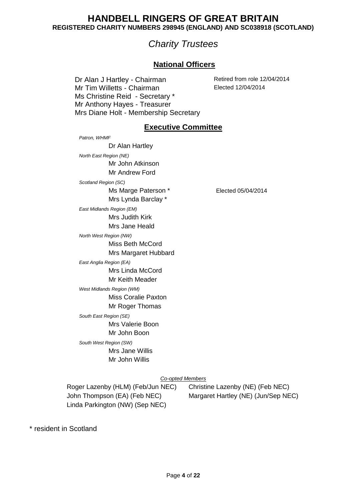# *Charity Trustees*

## **National Officers**

Dr Alan J Hartley - Chairman Retired from role 12/04/2014<br>
Mr Tim Willetts - Chairman Retired 12/04/2014 Mr Tim Willetts - Chairman Ms Christine Reid - Secretary \* Mr Anthony Hayes - Treasurer Mrs Diane Holt - Membership Secretary

## **Executive Committee**

*Patron, WHMF* Dr Alan Hartley *North East Region (NE)* Mr John Atkinson Mr Andrew Ford *Scotland Region (SC)* Ms Marge Paterson \* Elected 05/04/2014 Mrs Lynda Barclay \* *East Midlands Region (EM)* Mrs Judith Kirk Mrs Jane Heald *North West Region (NW)* Miss Beth McCord Mrs Margaret Hubbard *East Anglia Region (EA)* Mrs Linda McCord Mr Keith Meader *West Midlands Region (WM)* Miss Coralie Paxton Mr Roger Thomas *South East Region (SE)* Mrs Valerie Boon Mr John Boon *South West Region (SW)* Mrs Jane Willis Mr John Willis

#### *Co-opted Members*

Roger Lazenby (HLM) (Feb/Jun NEC) Christine Lazenby (NE) (Feb NEC) Linda Parkington (NW) (Sep NEC)

John Thompson (EA) (Feb NEC) Margaret Hartley (NE) (Jun/Sep NEC)

\* resident in Scotland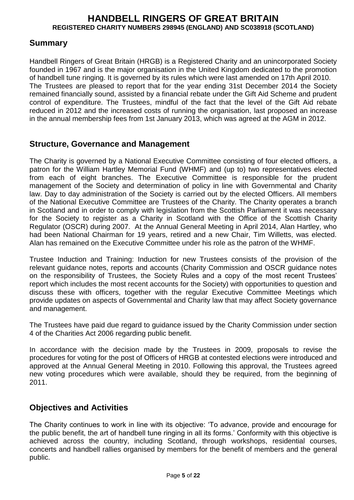## **Summary**

Handbell Ringers of Great Britain (HRGB) is a Registered Charity and an unincorporated Society founded in 1967 and is the major organisation in the United Kingdom dedicated to the promotion of handbell tune ringing. It is governed by its rules which were last amended on 17th April 2010. The Trustees are pleased to report that for the year ending 31st December 2014 the Society remained financially sound, assisted by a financial rebate under the Gift Aid Scheme and prudent control of expenditure. The Trustees, mindful of the fact that the level of the Gift Aid rebate reduced in 2012 and the increased costs of running the organisation, last proposed an increase in the annual membership fees from 1st January 2013, which was agreed at the AGM in 2012.

## **Structure, Governance and Management**

The Charity is governed by a National Executive Committee consisting of four elected officers, a patron for the William Hartley Memorial Fund (WHMF) and (up to) two representatives elected from each of eight branches. The Executive Committee is responsible for the prudent management of the Society and determination of policy in line with Governmental and Charity law. Day to day administration of the Society is carried out by the elected Officers. All members of the National Executive Committee are Trustees of the Charity. The Charity operates a branch in Scotland and in order to comply with legislation from the Scottish Parliament it was necessary for the Society to register as a Charity in Scotland with the Office of the Scottish Charity Regulator (OSCR) during 2007. At the Annual General Meeting in April 2014, Alan Hartley, who had been National Chairman for 19 years, retired and a new Chair, Tim Willetts, was elected. Alan has remained on the Executive Committee under his role as the patron of the WHMF.

Trustee Induction and Training: Induction for new Trustees consists of the provision of the relevant guidance notes, reports and accounts (Charity Commission and OSCR guidance notes on the responsibility of Trustees, the Society Rules and a copy of the most recent Trustees' report which includes the most recent accounts for the Society) with opportunities to question and discuss these with officers, together with the regular Executive Committee Meetings which provide updates on aspects of Governmental and Charity law that may affect Society governance and management.

The Trustees have paid due regard to guidance issued by the Charity Commission under section 4 of the Charities Act 2006 regarding public benefit.

In accordance with the decision made by the Trustees in 2009, proposals to revise the procedures for voting for the post of Officers of HRGB at contested elections were introduced and approved at the Annual General Meeting in 2010. Following this approval, the Trustees agreed new voting procedures which were available, should they be required, from the beginning of 2011.

## **Objectives and Activities**

The Charity continues to work in line with its objective: 'To advance, provide and encourage for the public benefit, the art of handbell tune ringing in all its forms.' Conformity with this objective is achieved across the country, including Scotland, through workshops, residential courses, concerts and handbell rallies organised by members for the benefit of members and the general public.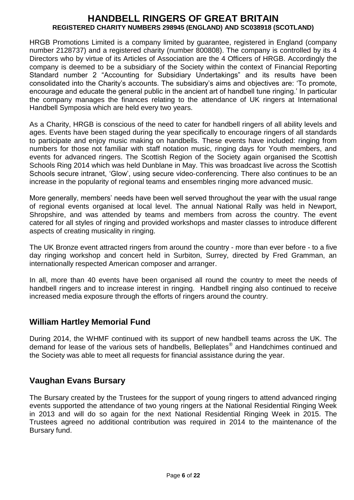HRGB Promotions Limited is a company limited by guarantee, registered in England (company number 2128737) and a registered charity (number 800808). The company is controlled by its 4 Directors who by virtue of its Articles of Association are the 4 Officers of HRGB. Accordingly the company is deemed to be a subsidiary of the Society within the context of Financial Reporting Standard number 2 "Accounting for Subsidiary Undertakings" and its results have been consolidated into the Charity's accounts. The subsidiary's aims and objectives are: 'To promote, encourage and educate the general public in the ancient art of handbell tune ringing.' In particular the company manages the finances relating to the attendance of UK ringers at International Handbell Symposia which are held every two years.

As a Charity, HRGB is conscious of the need to cater for handbell ringers of all ability levels and ages. Events have been staged during the year specifically to encourage ringers of all standards to participate and enjoy music making on handbells. These events have included: ringing from numbers for those not familiar with staff notation music, ringing days for Youth members, and events for advanced ringers. The Scottish Region of the Society again organised the Scottish Schools Ring 2014 which was held Dunblane in May. This was broadcast live across the Scottish Schools secure intranet, 'Glow', using secure video‐conferencing. There also continues to be an increase in the popularity of regional teams and ensembles ringing more advanced music.

More generally, members' needs have been well served throughout the year with the usual range of regional events organised at local level. The annual National Rally was held in Newport, Shropshire, and was attended by teams and members from across the country. The event catered for all styles of ringing and provided workshops and master classes to introduce different aspects of creating musicality in ringing.

The UK Bronze event attracted ringers from around the country - more than ever before - to a five day ringing workshop and concert held in Surbiton, Surrey, directed by Fred Gramman, an internationally respected American composer and arranger.

In all, more than 40 events have been organised all round the country to meet the needs of handbell ringers and to increase interest in ringing. Handbell ringing also continued to receive increased media exposure through the efforts of ringers around the country.

## **William Hartley Memorial Fund**

During 2014, the WHMF continued with its support of new handbell teams across the UK. The demand for lease of the various sets of handbells, Belleplates® and Handchimes continued and the Society was able to meet all requests for financial assistance during the year.

## **Vaughan Evans Bursary**

The Bursary created by the Trustees for the support of young ringers to attend advanced ringing events supported the attendance of two young ringers at the National Residential Ringing Week in 2013 and will do so again for the next National Residential Ringing Week in 2015. The Trustees agreed no additional contribution was required in 2014 to the maintenance of the Bursary fund.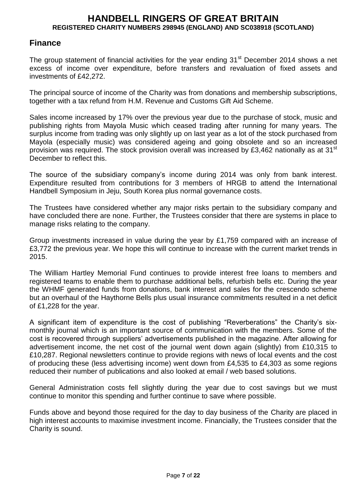## **Finance**

The group statement of financial activities for the year ending  $31<sup>st</sup>$  December 2014 shows a net excess of income over expenditure, before transfers and revaluation of fixed assets and investments of £42,272.

The principal source of income of the Charity was from donations and membership subscriptions, together with a tax refund from H.M. Revenue and Customs Gift Aid Scheme.

Sales income increased by 17% over the previous year due to the purchase of stock, music and publishing rights from Mayola Music which ceased trading after running for many years. The surplus income from trading was only slightly up on last year as a lot of the stock purchased from Mayola (especially music) was considered ageing and going obsolete and so an increased provision was required. The stock provision overall was increased by £3,462 nationally as at 31 $^{\rm st}$ December to reflect this.

The source of the subsidiary company's income during 2014 was only from bank interest. Expenditure resulted from contributions for 3 members of HRGB to attend the International Handbell Symposium in Jeju, South Korea plus normal governance costs.

The Trustees have considered whether any major risks pertain to the subsidiary company and have concluded there are none. Further, the Trustees consider that there are systems in place to manage risks relating to the company.

Group investments increased in value during the year by £1,759 compared with an increase of £3,772 the previous year. We hope this will continue to increase with the current market trends in 2015.

The William Hartley Memorial Fund continues to provide interest free loans to members and registered teams to enable them to purchase additional bells, refurbish bells etc. During the year the WHMF generated funds from donations, bank interest and sales for the crescendo scheme but an overhaul of the Haythorne Bells plus usual insurance commitments resulted in a net deficit of £1,228 for the year.

A significant item of expenditure is the cost of publishing "Reverberations" the Charity's sixmonthly journal which is an important source of communication with the members. Some of the cost is recovered through suppliers' advertisements published in the magazine. After allowing for advertisement income, the net cost of the journal went down again (slightly) from £10,315 to £10,287. Regional newsletters continue to provide regions with news of local events and the cost of producing these (less advertising income) went down from £4,535 to £4,303 as some regions reduced their number of publications and also looked at email / web based solutions.

General Administration costs fell slightly during the year due to cost savings but we must continue to monitor this spending and further continue to save where possible.

Funds above and beyond those required for the day to day business of the Charity are placed in high interest accounts to maximise investment income. Financially, the Trustees consider that the Charity is sound.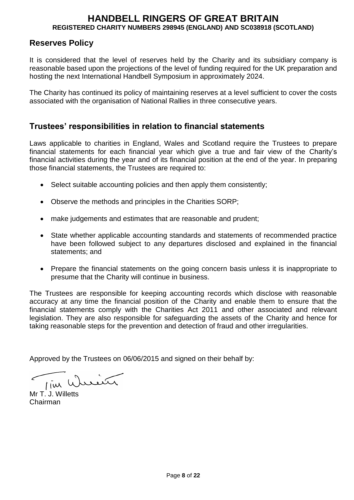## **Reserves Policy**

It is considered that the level of reserves held by the Charity and its subsidiary company is reasonable based upon the projections of the level of funding required for the UK preparation and hosting the next International Handbell Symposium in approximately 2024.

The Charity has continued its policy of maintaining reserves at a level sufficient to cover the costs associated with the organisation of National Rallies in three consecutive years.

## **Trustees' responsibilities in relation to financial statements**

Laws applicable to charities in England, Wales and Scotland require the Trustees to prepare financial statements for each financial year which give a true and fair view of the Charity's financial activities during the year and of its financial position at the end of the year. In preparing those financial statements, the Trustees are required to:

- Select suitable accounting policies and then apply them consistently;
- Observe the methods and principles in the Charities SORP;
- make judgements and estimates that are reasonable and prudent;
- State whether applicable accounting standards and statements of recommended practice have been followed subject to any departures disclosed and explained in the financial statements; and
- Prepare the financial statements on the going concern basis unless it is inappropriate to presume that the Charity will continue in business.

The Trustees are responsible for keeping accounting records which disclose with reasonable accuracy at any time the financial position of the Charity and enable them to ensure that the financial statements comply with the Charities Act 2011 and other associated and relevant legislation. They are also responsible for safeguarding the assets of the Charity and hence for taking reasonable steps for the prevention and detection of fraud and other irregularities.

Approved by the Trustees on 06/06/2015 and signed on their behalf by:

Tim Wreig

Mr T. J. Willetts Chairman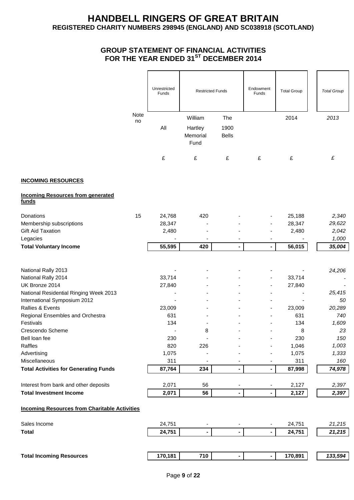#### **GROUP STATEMENT OF FINANCIAL ACTIVITIES FOR THE YEAR ENDED 31ST DECEMBER 2014**

|                                                      |      | Unrestricted<br>Funds | <b>Restricted Funds</b> |                          | Endowment<br>Funds | <b>Total Group</b> | <b>Total Group</b> |
|------------------------------------------------------|------|-----------------------|-------------------------|--------------------------|--------------------|--------------------|--------------------|
|                                                      | Note |                       | William                 | The                      |                    | 2014               | 2013               |
|                                                      | no   | All                   | Hartley<br>Memorial     | 1900<br><b>Bells</b>     |                    |                    |                    |
|                                                      |      |                       | Fund                    |                          |                    |                    |                    |
|                                                      |      | £                     | £                       | £                        | £                  | £                  | £                  |
| <b>INCOMING RESOURCES</b>                            |      |                       |                         |                          |                    |                    |                    |
| <b>Incoming Resources from generated</b><br>funds    |      |                       |                         |                          |                    |                    |                    |
| Donations                                            | 15   | 24,768                | 420                     |                          |                    | 25,188             | 2,340              |
| Membership subscriptions                             |      | 28,347                |                         |                          |                    | 28,347             | 29,622             |
| <b>Gift Aid Taxation</b>                             |      | 2,480                 |                         |                          |                    | 2,480              | 2,042              |
| Legacies                                             |      |                       |                         |                          |                    |                    | 1,000              |
| <b>Total Voluntary Income</b>                        |      | 55,595                | 420                     | ٠                        |                    | 56,015             | 35,004             |
|                                                      |      |                       |                         |                          |                    |                    |                    |
| National Rally 2013                                  |      |                       |                         |                          |                    |                    | 24,206             |
| National Rally 2014                                  |      | 33,714                |                         |                          |                    | 33,714             |                    |
| UK Bronze 2014                                       |      | 27,840                |                         |                          |                    | 27,840             |                    |
| National Residential Ringing Week 2013               |      |                       |                         |                          |                    |                    | 25,415             |
| International Symposium 2012                         |      |                       |                         |                          |                    |                    | 50                 |
| Rallies & Events                                     |      | 23,009                |                         |                          |                    | 23,009             | 20,289             |
| Regional Ensembles and Orchestra                     |      | 631                   |                         |                          |                    | 631                | 740                |
| Festivals                                            |      | 134                   |                         |                          |                    | 134                | 1,609              |
| Crescendo Scheme                                     |      |                       | 8                       |                          |                    | 8                  | 23                 |
| Bell loan fee                                        |      | 230                   |                         |                          |                    | 230                | 150                |
| Raffles                                              |      | 820                   | 226                     |                          |                    | 1,046              | 1,003              |
| Advertising                                          |      | 1,075                 |                         |                          |                    | 1,075              | 1,333              |
| Miscellaneous                                        |      | 311                   |                         |                          |                    | 311                | 160                |
| <b>Total Activities for Generating Funds</b>         |      | 87,764                | 234                     | $\blacksquare$           | -                  | 87,998             | 74,978             |
| Interest from bank and other deposits                |      | 2,071                 | 56                      |                          |                    | 2,127              | 2,397              |
| <b>Total Investment Income</b>                       |      | 2,071                 | 56                      | $\overline{\phantom{0}}$ |                    | 2,127              | 2,397              |
| <b>Incoming Resources from Charitable Activities</b> |      |                       |                         |                          |                    |                    |                    |
| Sales Income                                         |      | 24,751                |                         |                          |                    | 24,751             | 21,215             |
| <b>Total</b>                                         |      | 24,751                |                         | $\blacksquare$           |                    | 24,751             | 21,215             |
|                                                      |      |                       |                         |                          |                    |                    |                    |
| <b>Total Incoming Resources</b>                      |      | 170,181               | 710                     | $\overline{\phantom{0}}$ | ÷                  | 170,891            | 133,594            |
|                                                      |      |                       |                         |                          |                    |                    |                    |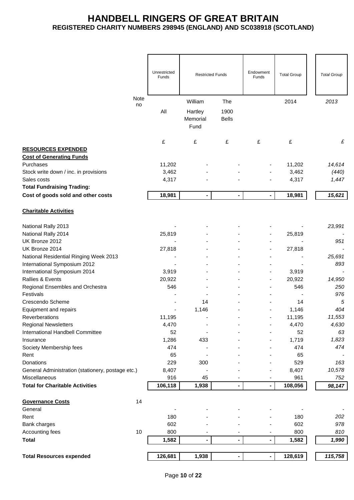|                                                                 | Unrestricted |                              |                      | Endowment                    |                    |                    |
|-----------------------------------------------------------------|--------------|------------------------------|----------------------|------------------------------|--------------------|--------------------|
|                                                                 | Funds        | <b>Restricted Funds</b>      |                      | Funds                        | <b>Total Group</b> | <b>Total Group</b> |
|                                                                 |              |                              |                      |                              |                    |                    |
| Note<br>no                                                      |              | William                      | The                  |                              | 2014               | 2013               |
|                                                                 | All          | Hartley<br>Memorial<br>Fund  | 1900<br><b>Bells</b> |                              |                    |                    |
|                                                                 | £            | £                            | £                    | £                            | £                  | £                  |
| <b>RESOURCES EXPENDED</b>                                       |              |                              |                      |                              |                    |                    |
| <b>Cost of Generating Funds</b>                                 |              |                              |                      |                              |                    |                    |
| Purchases                                                       | 11,202       |                              |                      |                              | 11,202             | 14,614             |
| Stock write down / inc. in provisions                           | 3,462        |                              |                      |                              | 3,462              | (440)              |
| Sales costs                                                     | 4,317        |                              |                      |                              | 4,317              | 1,447              |
| <b>Total Fundraising Trading:</b>                               |              |                              |                      |                              |                    |                    |
| Cost of goods sold and other costs                              | 18,981       | $\qquad \qquad \blacksquare$ | $\blacksquare$       | $\qquad \qquad \blacksquare$ | 18,981             | 15,621             |
| <b>Charitable Activities</b>                                    |              |                              |                      |                              |                    |                    |
| National Rally 2013                                             |              |                              |                      |                              |                    | 23,991             |
| National Rally 2014                                             | 25,819       |                              |                      |                              | 25,819             |                    |
| UK Bronze 2012                                                  |              |                              |                      |                              |                    | 951                |
| UK Bronze 2014                                                  | 27,818       |                              |                      |                              | 27,818             |                    |
| National Residential Ringing Week 2013                          |              |                              |                      |                              |                    | 25,691             |
| International Symposium 2012                                    |              |                              |                      |                              |                    | 893                |
| International Symposium 2014                                    | 3,919        |                              |                      |                              | 3,919              |                    |
| Rallies & Events                                                | 20,922       |                              |                      |                              | 20,922             | 14,950             |
| Regional Ensembles and Orchestra                                | 546          |                              |                      |                              | 546                | 250                |
| Festivals                                                       |              |                              |                      |                              |                    | 976                |
| Crescendo Scheme                                                |              | 14                           |                      |                              | 14                 | 5                  |
| Equipment and repairs                                           |              | 1,146                        |                      |                              | 1,146              | 404                |
| Reverberations                                                  | 11,195       |                              |                      |                              | 11,195             | 11,553             |
| <b>Regional Newsletters</b><br>International Handbell Committee | 4,470<br>52  |                              |                      |                              | 4,470<br>52        | 4,630<br>63        |
| Insurance                                                       | 1,286        | 433                          |                      |                              | 1,719              | 1,823              |
| Society Membership fees                                         | 474          |                              |                      |                              | 474                | 474                |
| Rent                                                            | 65           |                              |                      |                              | 65                 |                    |
| Donations                                                       | 229          | 300                          |                      |                              | 529                | 163                |
| General Administration (stationery, postage etc.)               | 8,407        |                              |                      |                              | 8,407              | 10,578             |
| Miscellaneous                                                   | 916          | 45                           |                      |                              | 961                | 752                |
| <b>Total for Charitable Activities</b>                          | 106,118      | 1,938                        |                      |                              | 108,056            | 98,147             |
|                                                                 |              |                              |                      |                              |                    |                    |
| <b>Governance Costs</b><br>14                                   |              |                              |                      |                              |                    |                    |
| General<br>Rent                                                 | 180          |                              |                      |                              | 180                | 202                |
| Bank charges                                                    | 602          |                              |                      |                              | 602                | 978                |
| $10$<br>Accounting fees                                         | 800          |                              |                      |                              | 800                | 810                |
| <b>Total</b>                                                    | 1,582        | $\blacksquare$               | Ξ.                   |                              | 1,582              | 1,990              |
|                                                                 |              |                              |                      |                              |                    |                    |
| <b>Total Resources expended</b>                                 | 126,681      | 1,938                        |                      |                              | 128,619            | 115,758            |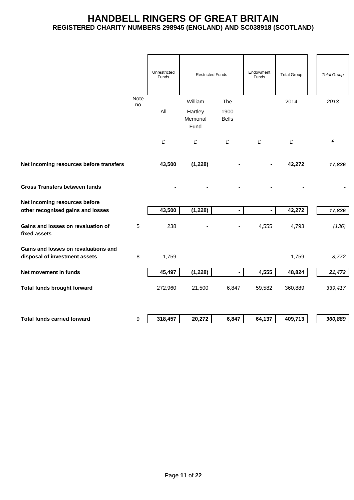|                                                                       |             | Unrestricted<br>Funds | <b>Restricted Funds</b>     |                      | Endowment<br><b>Funds</b> | <b>Total Group</b> | <b>Total Group</b> |
|-----------------------------------------------------------------------|-------------|-----------------------|-----------------------------|----------------------|---------------------------|--------------------|--------------------|
|                                                                       | <b>Note</b> |                       | William                     | The                  |                           | 2014               | 2013               |
|                                                                       | no          | All                   | Hartley<br>Memorial<br>Fund | 1900<br><b>Bells</b> |                           |                    |                    |
|                                                                       |             | £                     | £                           | £                    | £                         | £                  | £                  |
| Net incoming resources before transfers                               |             | 43,500                | (1,228)                     |                      |                           | 42,272             | 17,836             |
| <b>Gross Transfers between funds</b>                                  |             |                       |                             |                      |                           |                    |                    |
| Net incoming resources before                                         |             |                       |                             |                      |                           |                    |                    |
| other recognised gains and losses                                     |             | 43,500                | (1, 228)                    | $\blacksquare$       | $\blacksquare$            | 42,272             | 17,836             |
| Gains and losses on revaluation of<br>fixed assets                    | 5           | 238                   |                             |                      | 4,555                     | 4,793              | (136)              |
| Gains and losses on revaluations and<br>disposal of investment assets | 8           | 1,759                 |                             |                      |                           | 1,759              | 3,772              |
| Net movement in funds                                                 |             | 45,497                | (1, 228)                    | $\blacksquare$       | 4,555                     | 48,824             | 21,472             |
| Total funds brought forward                                           |             | 272,960               | 21,500                      | 6,847                | 59,582                    | 360,889            | 339,417            |
|                                                                       |             |                       |                             |                      |                           |                    |                    |
| <b>Total funds carried forward</b>                                    | 9           | 318,457               | 20,272                      | 6,847                | 64,137                    | 409,713            | 360,889            |
|                                                                       |             |                       |                             |                      |                           |                    |                    |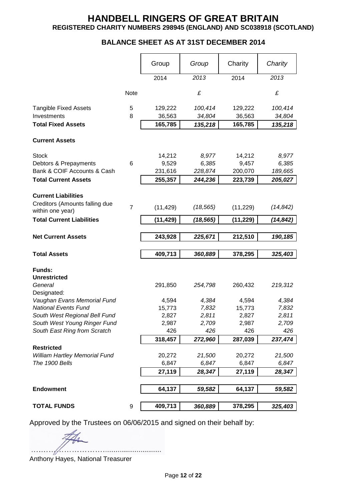### **BALANCE SHEET AS AT 31ST DECEMBER 2014**

|                                                            |                | Group           | Group          | Charity         | Charity        |
|------------------------------------------------------------|----------------|-----------------|----------------|-----------------|----------------|
|                                                            |                | 2014            | 2013           | 2014            | 2013           |
|                                                            | Note           |                 | £              |                 | £              |
| <b>Tangible Fixed Assets</b>                               | 5              | 129,222         | 100,414        | 129,222         | 100,414        |
| Investments                                                | 8              | 36,563          | 34,804         | 36,563          | 34,804         |
| <b>Total Fixed Assets</b>                                  |                | 165,785         | 135,218        | 165,785         | 135,218        |
| <b>Current Assets</b>                                      |                |                 |                |                 |                |
| <b>Stock</b>                                               |                | 14,212          | 8,977          | 14,212          | 8,977          |
| Debtors & Prepayments                                      | 6              | 9,529           | 6,385          | 9,457           | 6,385          |
| Bank & COIF Accounts & Cash                                |                | 231,616         | 228,874        | 200,070         | 189,665        |
| <b>Total Current Assets</b>                                |                | 255,357         | 244,236        | 223,739         | 205,027        |
| <b>Current Liabilities</b>                                 |                |                 |                |                 |                |
| Creditors (Amounts falling due<br>within one year)         | $\overline{7}$ | (11, 429)       | (18, 565)      | (11, 229)       | (14, 842)      |
| <b>Total Current Liabilities</b>                           |                | (11, 429)       | (18, 565)      | (11, 229)       | (14, 842)      |
| <b>Net Current Assets</b>                                  |                | 243,928         | 225,671        | 212,510         | 190,185        |
|                                                            |                |                 |                |                 |                |
| <b>Total Assets</b>                                        |                | 409,713         | 360,889        | 378,295         | 325,403        |
| <b>Funds:</b>                                              |                |                 |                |                 |                |
| <b>Unrestricted</b>                                        |                |                 |                |                 |                |
| General                                                    |                | 291,850         | 254,798        | 260,432         | 219,312        |
| Designated:                                                |                |                 |                |                 |                |
| Vaughan Evans Memorial Fund<br><b>National Events Fund</b> |                | 4,594           | 4,384          | 4,594           | 4,384          |
| South West Regional Bell Fund                              |                | 15,773<br>2,827 | 7,832<br>2,811 | 15,773<br>2,827 | 7,832<br>2,811 |
| South West Young Ringer Fund                               |                | 2,987           | 2,709          | 2,987           | 2,709          |
| South East Ring from Scratch                               |                | 426             | 426            | 426             | 426            |
|                                                            |                | 318,457         | 272,960        | 287,039         | 237,474        |
| <b>Restricted</b>                                          |                |                 |                |                 |                |
| William Hartley Memorial Fund                              |                | 20,272          | 21,500         | 20,272          | 21,500         |
| The 1900 Bells                                             |                | 6,847           | 6,847          | 6,847           | 6,847          |
|                                                            |                | 27,119          | 28,347         | 27,119          | 28,347         |
|                                                            |                |                 |                |                 |                |
| <b>Endowment</b>                                           |                | 64,137          | 59,582         | 64,137          | 59,582         |
| <b>TOTAL FUNDS</b>                                         | 9              | 409,713         | 360,889        | 378,295         | 325,403        |
|                                                            |                |                 |                |                 |                |

Approved by the Trustees on 06/06/2015 and signed on their behalf by:

Anthony Hayes, National Treasurer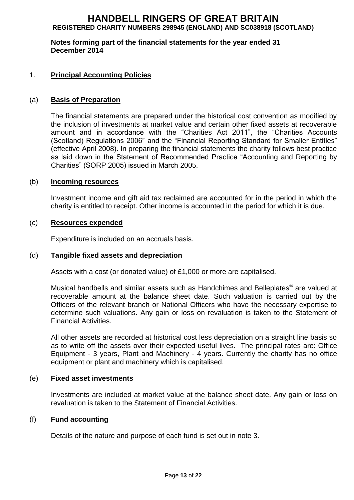**Notes forming part of the financial statements for the year ended 31 December 2014**

#### 1. **Principal Accounting Policies**

#### (a) **Basis of Preparation**

The financial statements are prepared under the historical cost convention as modified by the inclusion of investments at market value and certain other fixed assets at recoverable amount and in accordance with the "Charities Act 2011", the "Charities Accounts (Scotland) Regulations 2006" and the "Financial Reporting Standard for Smaller Entities" (effective April 2008). In preparing the financial statements the charity follows best practice as laid down in the Statement of Recommended Practice "Accounting and Reporting by Charities" (SORP 2005) issued in March 2005.

#### (b) **Incoming resources**

Investment income and gift aid tax reclaimed are accounted for in the period in which the charity is entitled to receipt. Other income is accounted in the period for which it is due.

#### (c) **Resources expended**

Expenditure is included on an accruals basis.

#### (d) **Tangible fixed assets and depreciation**

Assets with a cost (or donated value) of £1,000 or more are capitalised.

Musical handbells and similar assets such as Handchimes and Belleplates® are valued at recoverable amount at the balance sheet date. Such valuation is carried out by the Officers of the relevant branch or National Officers who have the necessary expertise to determine such valuations. Any gain or loss on revaluation is taken to the Statement of Financial Activities.

All other assets are recorded at historical cost less depreciation on a straight line basis so as to write off the assets over their expected useful lives. The principal rates are: Office Equipment - 3 years, Plant and Machinery - 4 years. Currently the charity has no office equipment or plant and machinery which is capitalised.

#### (e) **Fixed asset investments**

Investments are included at market value at the balance sheet date. Any gain or loss on revaluation is taken to the Statement of Financial Activities.

#### (f) **Fund accounting**

Details of the nature and purpose of each fund is set out in note 3.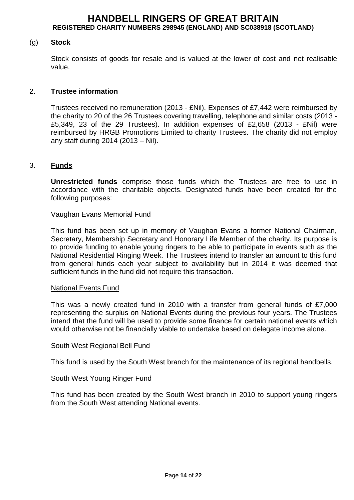#### (g) **Stock**

Stock consists of goods for resale and is valued at the lower of cost and net realisable value.

#### 2. **Trustee information**

Trustees received no remuneration (2013 - £Nil). Expenses of £7,442 were reimbursed by the charity to 20 of the 26 Trustees covering travelling, telephone and similar costs (2013 - £5,349, 23 of the 29 Trustees). In addition expenses of £2,658 (2013 - £Nil) were reimbursed by HRGB Promotions Limited to charity Trustees. The charity did not employ any staff during 2014 (2013 – Nil).

#### 3. **Funds**

**Unrestricted funds** comprise those funds which the Trustees are free to use in accordance with the charitable objects. Designated funds have been created for the following purposes:

#### Vaughan Evans Memorial Fund

This fund has been set up in memory of Vaughan Evans a former National Chairman, Secretary, Membership Secretary and Honorary Life Member of the charity. Its purpose is to provide funding to enable young ringers to be able to participate in events such as the National Residential Ringing Week. The Trustees intend to transfer an amount to this fund from general funds each year subject to availability but in 2014 it was deemed that sufficient funds in the fund did not require this transaction.

#### National Events Fund

This was a newly created fund in 2010 with a transfer from general funds of £7,000 representing the surplus on National Events during the previous four years. The Trustees intend that the fund will be used to provide some finance for certain national events which would otherwise not be financially viable to undertake based on delegate income alone.

#### South West Regional Bell Fund

This fund is used by the South West branch for the maintenance of its regional handbells.

#### South West Young Ringer Fund

This fund has been created by the South West branch in 2010 to support young ringers from the South West attending National events.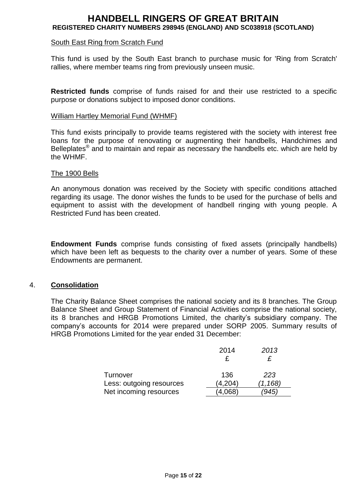#### South East Ring from Scratch Fund

This fund is used by the South East branch to purchase music for 'Ring from Scratch' rallies, where member teams ring from previously unseen music.

**Restricted funds** comprise of funds raised for and their use restricted to a specific purpose or donations subject to imposed donor conditions.

#### William Hartley Memorial Fund (WHMF)

This fund exists principally to provide teams registered with the society with interest free loans for the purpose of renovating or augmenting their handbells, Handchimes and Belleplates<sup>®</sup> and to maintain and repair as necessary the handbells etc. which are held by the WHMF.

#### The 1900 Bells

An anonymous donation was received by the Society with specific conditions attached regarding its usage. The donor wishes the funds to be used for the purchase of bells and equipment to assist with the development of handbell ringing with young people. A Restricted Fund has been created.

**Endowment Funds** comprise funds consisting of fixed assets (principally handbells) which have been left as bequests to the charity over a number of years. Some of these Endowments are permanent.

#### 4. **Consolidation**

The Charity Balance Sheet comprises the national society and its 8 branches. The Group Balance Sheet and Group Statement of Financial Activities comprise the national society, its 8 branches and HRGB Promotions Limited, the charity's subsidiary company. The company's accounts for 2014 were prepared under SORP 2005. Summary results of HRGB Promotions Limited for the year ended 31 December:

|                          | 2014    | 2013     |
|--------------------------|---------|----------|
|                          |         | £        |
| Turnover                 | 136     | 223      |
| Less: outgoing resources | (4,204) | (1, 168) |
| Net incoming resources   | 4.068)  | 945      |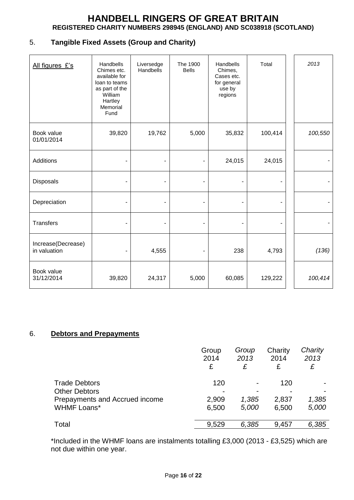## 5. **Tangible Fixed Assets (Group and Charity)**

| All figures £'s                    | Handbells<br>Chimes etc.<br>available for<br>loan to teams<br>as part of the<br>William<br>Hartley<br>Memorial<br>Fund | Liversedge<br>Handbells | The 1900<br><b>Bells</b> | Handbells<br>Chimes,<br>Cases etc.<br>for general<br>use by<br>regions | Total   | 2013    |
|------------------------------------|------------------------------------------------------------------------------------------------------------------------|-------------------------|--------------------------|------------------------------------------------------------------------|---------|---------|
| Book value<br>01/01/2014           | 39,820                                                                                                                 | 19,762                  | 5,000                    | 35,832                                                                 | 100,414 | 100,550 |
| Additions                          |                                                                                                                        |                         |                          | 24,015                                                                 | 24,015  |         |
| Disposals                          |                                                                                                                        | ÷                       |                          | ۰                                                                      |         |         |
| Depreciation                       |                                                                                                                        |                         |                          | $\overline{\phantom{a}}$                                               |         |         |
| <b>Transfers</b>                   |                                                                                                                        |                         |                          |                                                                        |         |         |
| Increase(Decrease)<br>in valuation |                                                                                                                        | 4,555                   |                          | 238                                                                    | 4,793   | (136)   |
| Book value<br>31/12/2014           | 39,820                                                                                                                 | 24,317                  | 5,000                    | 60,085                                                                 | 129,222 | 100,414 |

#### 6. **Debtors and Prepayments**

|                                | Group<br>2014<br>£ | Group<br>2013<br>£ | Charity<br>2014<br>£ | Charity<br>2013<br>£ |
|--------------------------------|--------------------|--------------------|----------------------|----------------------|
| <b>Trade Debtors</b>           | 120                |                    | 120                  |                      |
| <b>Other Debtors</b>           |                    |                    |                      |                      |
| Prepayments and Accrued income | 2,909              | 1,385              | 2,837                | 1,385                |
| <b>WHMF Loans*</b>             | 6,500              | 5,000              | 6,500                | 5,000                |
| Total                          | 9,529              | 6,385              | 9,457                | 6,385                |

\*Included in the WHMF loans are instalments totalling £3,000 (2013 - £3,525) which are not due within one year.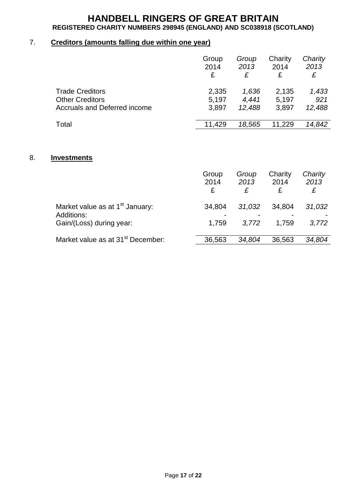## 7. **Creditors (amounts falling due within one year)**

|                              | Group<br>2014<br>£ | Group<br>2013<br>£ | Charity<br>2014<br>£ | Charity<br>2013<br>£ |
|------------------------------|--------------------|--------------------|----------------------|----------------------|
| <b>Trade Creditors</b>       | 2,335              | 1,636              | 2,135                | 1,433                |
| <b>Other Creditors</b>       | 5,197              | 4,441              | 5,197                | 921                  |
| Accruals and Deferred income | 3,897              | 12,488             | 3,897                | 12,488               |
| Total                        | 11,429             | 18,565             | 11,229               | 14,842               |

#### 8. **Investments**

|                                                                                       | Group<br>2014<br>£                | Group<br>2013<br>£ | Charity<br>2014<br>£ | Charity<br>2013<br>£ |
|---------------------------------------------------------------------------------------|-----------------------------------|--------------------|----------------------|----------------------|
| Market value as at 1 <sup>st</sup> January:<br>Additions:<br>Gain/(Loss) during year: | 34,804<br>$\blacksquare$<br>1.759 | 31,032<br>3.772    | 34,804<br>1.759      | 31,032<br>3,772      |
| Market value as at 31 <sup>st</sup> December:                                         | 36,563                            | 34,804             | 36,563               | 34.804               |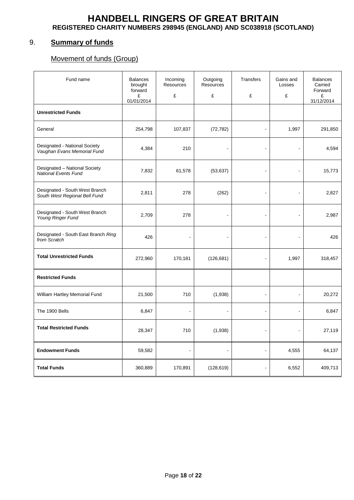### 9. **Summary of funds**

## Movement of funds (Group)

| Fund name                                                       | <b>Balances</b><br>brought<br>forward<br>£<br>01/01/2014 | Incoming<br>Resources<br>£ | Outgoing<br><b>Resources</b><br>£ | Transfers<br>£       | Gains and<br>Losses<br>£ | <b>Balances</b><br>Carried<br>Forward<br>£<br>31/12/2014 |
|-----------------------------------------------------------------|----------------------------------------------------------|----------------------------|-----------------------------------|----------------------|--------------------------|----------------------------------------------------------|
| <b>Unrestricted Funds</b>                                       |                                                          |                            |                                   |                      |                          |                                                          |
| General                                                         | 254,798                                                  | 107,837                    | (72, 782)                         | $\ddot{\phantom{a}}$ | 1,997                    | 291,850                                                  |
| Designated - National Society<br>Vaughan Evans Memorial Fund    | 4,384                                                    | 210                        |                                   | $\blacksquare$       |                          | 4,594                                                    |
| Designated - National Society<br><b>National Events Fund</b>    | 7,832                                                    | 61,578                     | (53, 637)                         | L,                   |                          | 15,773                                                   |
| Designated - South West Branch<br>South West Regional Bell Fund | 2,811                                                    | 278                        | (262)                             | $\overline{a}$       |                          | 2,827                                                    |
| Designated - South West Branch<br>Young Ringer Fund             | 2,709                                                    | 278                        | ÷.                                | $\ddot{\phantom{a}}$ | ÷,                       | 2,987                                                    |
| Designated - South East Branch Ring<br>from Scratch             | 426                                                      |                            |                                   | $\overline{a}$       |                          | 426                                                      |
| <b>Total Unrestricted Funds</b>                                 | 272,960                                                  | 170,181                    | (126, 681)                        | $\overline{a}$       | 1,997                    | 318,457                                                  |
| <b>Restricted Funds</b>                                         |                                                          |                            |                                   |                      |                          |                                                          |
| William Hartley Memorial Fund                                   | 21,500                                                   | 710                        | (1,938)                           | $\blacksquare$       | ÷,                       | 20,272                                                   |
| The 1900 Bells                                                  | 6,847                                                    | $\overline{a}$             |                                   | $\ddot{\phantom{a}}$ | $\overline{a}$           | 6,847                                                    |
| <b>Total Restricted Funds</b>                                   | 28,347                                                   | 710                        | (1,938)                           | $\ddot{\phantom{a}}$ |                          | 27,119                                                   |
| <b>Endowment Funds</b>                                          | 59,582                                                   |                            | $\blacksquare$                    | $\blacksquare$       | 4,555                    | 64,137                                                   |
| <b>Total Funds</b>                                              | 360,889                                                  | 170,891                    | (128, 619)                        | $\overline{a}$       | 6,552                    | 409,713                                                  |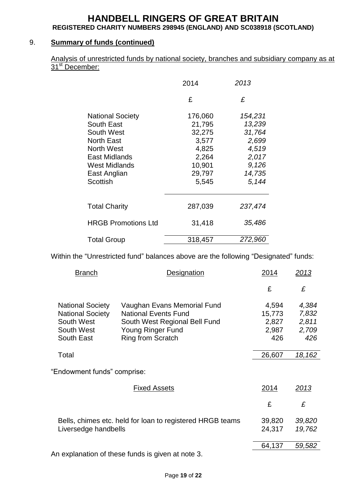## 9. **Summary of funds (continued)**

|                            |  |  | Analysis of unrestricted funds by national society, branches and subsidiary company as at |  |
|----------------------------|--|--|-------------------------------------------------------------------------------------------|--|
| 31 <sup>st</sup> December: |  |  |                                                                                           |  |

|                                                                                                                                                                    | 2014                                                                                | 2013                                                                               |
|--------------------------------------------------------------------------------------------------------------------------------------------------------------------|-------------------------------------------------------------------------------------|------------------------------------------------------------------------------------|
|                                                                                                                                                                    | £                                                                                   | £                                                                                  |
| <b>National Society</b><br>South East<br>South West<br><b>North East</b><br><b>North West</b><br>East Midlands<br><b>West Midlands</b><br>East Anglian<br>Scottish | 176,060<br>21,795<br>32,275<br>3,577<br>4,825<br>2,264<br>10,901<br>29,797<br>5,545 | 154,231<br>13,239<br>31,764<br>2,699<br>4,519<br>2,017<br>9,126<br>14,735<br>5,144 |
| <b>Total Charity</b>                                                                                                                                               | 287,039                                                                             | 237,474                                                                            |
| <b>HRGB Promotions Ltd</b>                                                                                                                                         | 31,418                                                                              | 35,486                                                                             |
| <b>Total Group</b>                                                                                                                                                 | 318,457                                                                             | 272,960                                                                            |

Within the "Unrestricted fund" balances above are the following "Designated" funds:

| <b>Branch</b>                                                                                | <b>Designation</b>                                                                                                                           | 2014                                     | <u> 2013</u>                            |
|----------------------------------------------------------------------------------------------|----------------------------------------------------------------------------------------------------------------------------------------------|------------------------------------------|-----------------------------------------|
|                                                                                              |                                                                                                                                              | £                                        | £                                       |
| <b>National Society</b><br><b>National Society</b><br>South West<br>South West<br>South East | Vaughan Evans Memorial Fund<br><b>National Events Fund</b><br>South West Regional Bell Fund<br>Young Ringer Fund<br><b>Ring from Scratch</b> | 4,594<br>15,773<br>2,827<br>2,987<br>426 | 4,384<br>7,832<br>2,811<br>2,709<br>426 |
| Total                                                                                        |                                                                                                                                              | 26,607                                   | 18,162                                  |
| "Endowment funds" comprise:                                                                  |                                                                                                                                              |                                          |                                         |
|                                                                                              | <b>Fixed Assets</b>                                                                                                                          | 2014                                     | <u> 2013</u>                            |
|                                                                                              |                                                                                                                                              | £                                        | £                                       |
| Liversedge handbells                                                                         | Bells, chimes etc. held for loan to registered HRGB teams                                                                                    | 39,820<br>24,317                         | 39,820<br>19,762                        |
|                                                                                              |                                                                                                                                              | 64,137                                   | 59,582                                  |
|                                                                                              | An explanation of these funds is given at note 3.                                                                                            |                                          |                                         |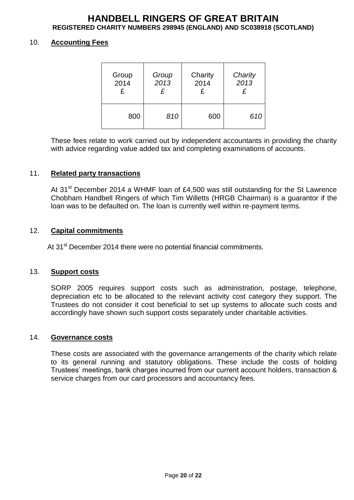#### 10. **Accounting Fees**

| Group | Group | Charity | Charity |
|-------|-------|---------|---------|
| 2014  | 2013  | 2014    | 2013    |
| £     | £     | £       | £       |
| 800   | 810   | 600     | 610     |

These fees relate to work carried out by independent accountants in providing the charity with advice regarding value added tax and completing examinations of accounts.

#### 11. **Related party transactions**

At  $31<sup>st</sup>$  December 2014 a WHMF loan of £4,500 was still outstanding for the St Lawrence Chobham Handbell Ringers of which Tim Willetts (HRGB Chairman) is a guarantor if the loan was to be defaulted on. The loan is currently well within re-payment terms.

#### 12. **Capital commitments**

At 31<sup>st</sup> December 2014 there were no potential financial commitments.

#### 13. **Support costs**

SORP 2005 requires support costs such as administration, postage, telephone, depreciation etc to be allocated to the relevant activity cost category they support. The Trustees do not consider it cost beneficial to set up systems to allocate such costs and accordingly have shown such support costs separately under charitable activities.

#### 14. **Governance costs**

These costs are associated with the governance arrangements of the charity which relate to its general running and statutory obligations. These include the costs of holding Trustees' meetings, bank charges incurred from our current account holders, transaction & service charges from our card processors and accountancy fees.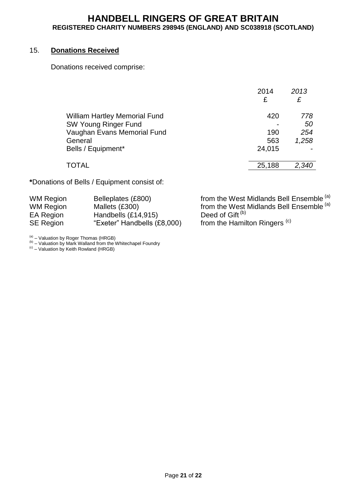#### 15. **Donations Received**

Donations received comprise:

|                                                                                                               | 2014<br>£         | 2013<br>£                 |
|---------------------------------------------------------------------------------------------------------------|-------------------|---------------------------|
| <b>William Hartley Memorial Fund</b><br><b>SW Young Ringer Fund</b><br>Vaughan Evans Memorial Fund<br>General | 420<br>190<br>563 | 778<br>50<br>254<br>1,258 |
| Bells / Equipment*                                                                                            | 24,015            |                           |
| <b>TOTAL</b>                                                                                                  | 25,188            | 2,340                     |

**\***Donations of Bells / Equipment consist of:

| <b>WM Region</b> | Belleplates (£800)          | from the West Midlands Bell Ensemble (a) |
|------------------|-----------------------------|------------------------------------------|
| <b>WM Region</b> | Mallets (£300)              | from the West Midlands Bell Ensemble (a) |
| EA Region        | Handbells (£14,915)         | Deed of Gift <sup>(b)</sup>              |
| <b>SE Region</b> | "Exeter" Handbells (£8,000) | from the Hamilton Ringers <sup>(c)</sup> |

<sup>(a)</sup> – Valuation by Roger Thomas (HRGB)<br><sup>(b)</sup> – Valuation by Mark Walland from the Whitechapel Foundry<br><sup>(c)</sup> – Valuation by Keith Rowland (HRGB)